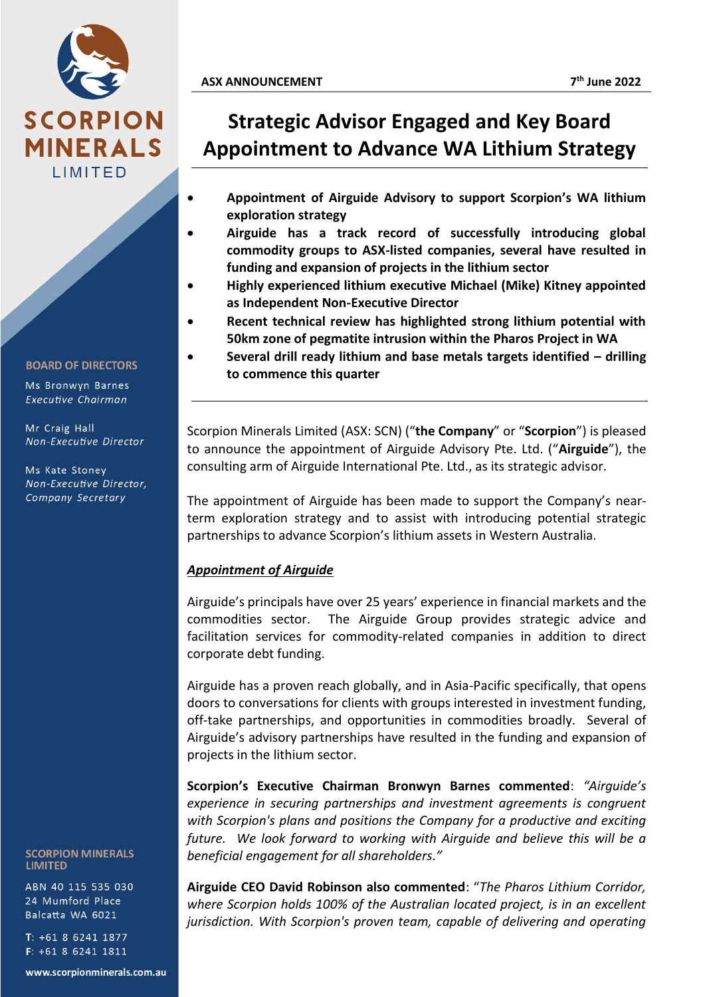

**BOARD OF DIRECTORS** 

Ms Bronwyn Barnes Executive Chairman

Mr Craig Hall Non-Executive Director

Ms Kate Stoney Non-Executive Director, Company Secretary

**SCORPION MINERALS LIMITED** 

ABN 40 115 535 030 24 Mumford Place Balcatta WA 6021

T: +61 8 6241 1877  $F: +61862411811$ 

www.scorpionminerals.com.au

## **ASX ANNOUNCEMENT 7**

- **Appointment of Airguide Advisory to support Scorpion's WA lithium exploration strategy** 
	- **Airguide has a track record of successfully introducing global commodity groups to ASX-listed companies, several have resulted in funding and expansion of projects in the lithium sector**
- **Highly experienced lithium executive Michael (Mike) Kitney appointed as Independent Non-Executive Director**
- **Recent technical review has highlighted strong lithium potential with 50km zone of pegmatite intrusion within the Pharos Project in WA**
- **Several drill ready lithium and base metals targets identified – drilling to commence this quarter**

Scorpion Minerals Limited (ASX: SCN) ("**the Company**" or "**Scorpion**") is pleased to announce the appointment of Airguide Advisory Pte. Ltd. ("**Airguide**"), the consulting arm of Airguide International Pte. Ltd., as its strategic advisor.

The appointment of Airguide has been made to support the Company's nearterm exploration strategy and to assist with introducing potential strategic partnerships to advance Scorpion's lithium assets in Western Australia.

## *Appointment of Airguide*

Airguide's principals have over 25 years' experience in financial markets and the commodities sector. The Airguide Group provides strategic advice and facilitation services for commodity-related companies in addition to direct corporate debt funding.

Airguide has a proven reach globally, and in Asia-Pacific specifically, that opens doors to conversations for clients with groups interested in investment funding, off-take partnerships, and opportunities in commodities broadly. Several of Airguide's advisory partnerships have resulted in the funding and expansion of projects in the lithium sector.

**Scorpion's Executive Chairman Bronwyn Barnes commented**: *"Airguide's experience in securing partnerships and investment agreements is congruent with Scorpion's plans and positions the Company for a productive and exciting future. We look forward to working with Airguide and believe this will be a beneficial engagement for all shareholders."*

**Airguide CEO David Robinson also commented**: "*The Pharos Lithium Corridor, where Scorpion holds 100% of the Australian located project, is in an excellent jurisdiction. With Scorpion's proven team, capable of delivering and operating*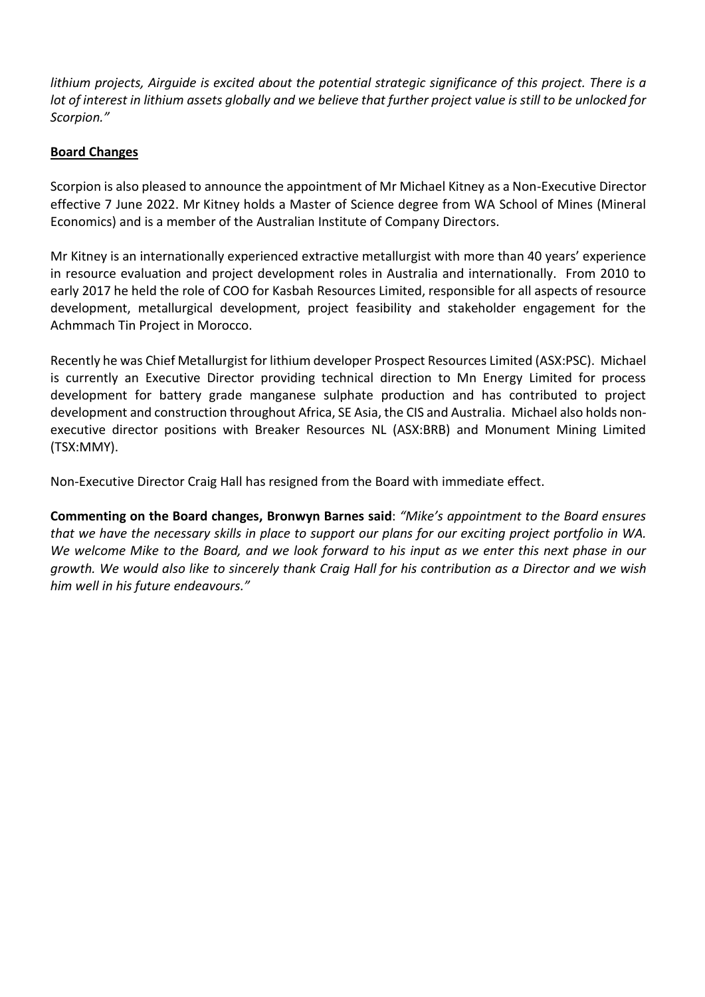*lithium projects, Airguide is excited about the potential strategic significance of this project. There is a lot of interest in lithium assets globally and we believe that further project value is still to be unlocked for Scorpion."*

## **Board Changes**

Scorpion is also pleased to announce the appointment of Mr Michael Kitney as a Non-Executive Director effective 7 June 2022. Mr Kitney holds a Master of Science degree from WA School of Mines (Mineral Economics) and is a member of the Australian Institute of Company Directors.

Mr Kitney is an internationally experienced extractive metallurgist with more than 40 years' experience in resource evaluation and project development roles in Australia and internationally. From 2010 to early 2017 he held the role of COO for Kasbah Resources Limited, responsible for all aspects of resource development, metallurgical development, project feasibility and stakeholder engagement for the Achmmach Tin Project in Morocco.

Recently he was Chief Metallurgist for lithium developer Prospect Resources Limited (ASX:PSC). Michael is currently an Executive Director providing technical direction to Mn Energy Limited for process development for battery grade manganese sulphate production and has contributed to project development and construction throughout Africa, SE Asia, the CIS and Australia. Michael also holds nonexecutive director positions with Breaker Resources NL (ASX:BRB) and Monument Mining Limited (TSX:MMY).

Non-Executive Director Craig Hall has resigned from the Board with immediate effect.

**Commenting on the Board changes, Bronwyn Barnes said**: *"Mike's appointment to the Board ensures that we have the necessary skills in place to support our plans for our exciting project portfolio in WA. We welcome Mike to the Board, and we look forward to his input as we enter this next phase in our growth. We would also like to sincerely thank Craig Hall for his contribution as a Director and we wish him well in his future endeavours."*